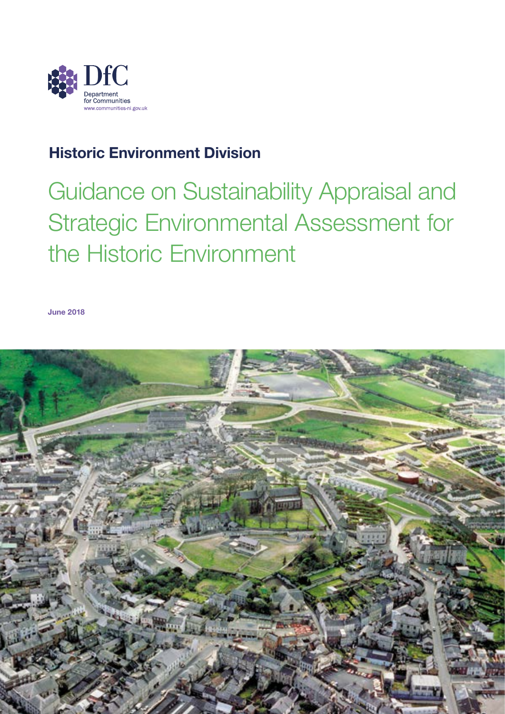

# Historic Environment Division

Guidance on Sustainability Appraisal and Strategic Environmental Assessment for the Historic Environment

June 2018

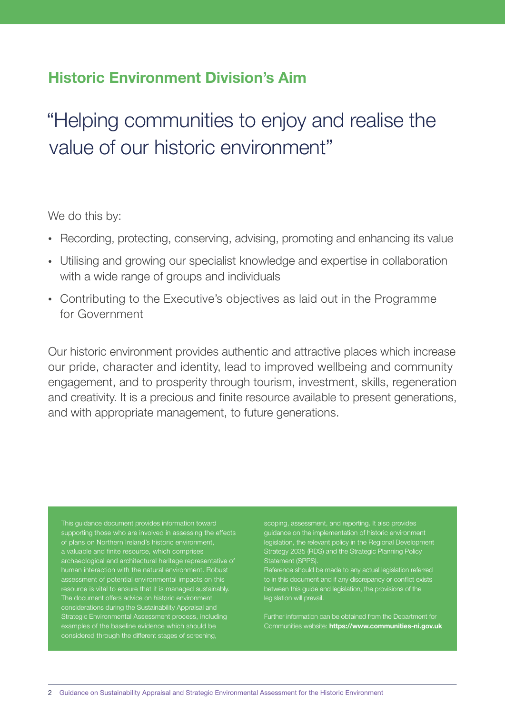## Historic Environment Division's Aim

# "Helping communities to enjoy and realise the value of our historic environment"

We do this by:

- Recording, protecting, conserving, advising, promoting and enhancing its value
- Utilising and growing our specialist knowledge and expertise in collaboration with a wide range of groups and individuals
- Contributing to the Executive's objectives as laid out in the Programme for Government

Our historic environment provides authentic and attractive places which increase our pride, character and identity, lead to improved wellbeing and community engagement, and to prosperity through tourism, investment, skills, regeneration and creativity. It is a precious and finite resource available to present generations, and with appropriate management, to future generations.

This guidance document provides information toward of plans on Northern Ireland's historic environment, archaeological and architectural heritage representative of resource is vital to ensure that it is managed sustainably. The document offers advice on historic environment considerations during the Sustainability Appraisal and Strategic Environmental Assessment process, including examples of the baseline evidence which should be considered through the different stages of screening,

guidance on the implementation of historic environment legislation, the relevant policy in the Regional Development Strategy 2035 (RDS) and the Strategic Planning Policy Statement (SPP)

ice should be made to any actual legislation referred to in this document and if any discrepancy or conflict exists between this guide and legislation, the provisions of the legislation will prevail.

Further information can be obtained from the Department for Communities website: https://www.communities-ni.gov.uk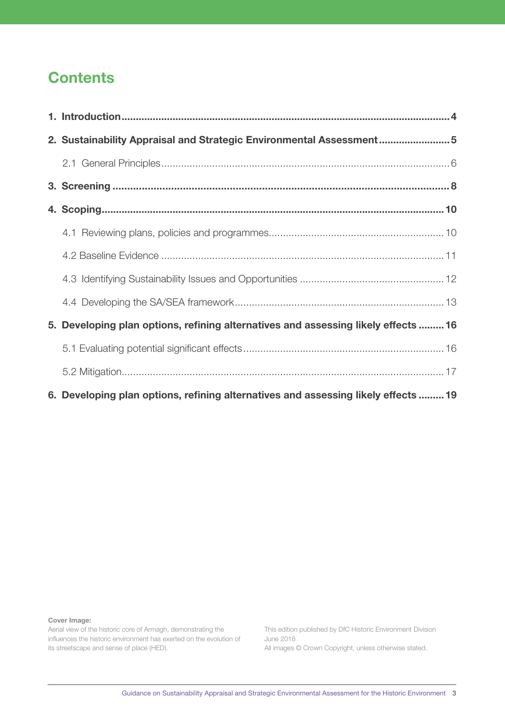# **Contents**

| 2. Sustainability Appraisal and Strategic Environmental Assessment5                |  |
|------------------------------------------------------------------------------------|--|
|                                                                                    |  |
|                                                                                    |  |
|                                                                                    |  |
|                                                                                    |  |
|                                                                                    |  |
|                                                                                    |  |
|                                                                                    |  |
| 5. Developing plan options, refining alternatives and assessing likely effects  16 |  |
|                                                                                    |  |
|                                                                                    |  |
| 6. Developing plan options, refining alternatives and assessing likely effects  19 |  |

Cover Image:

Aerial view of the historic core of Armagh, demonstrating the influences the historic environment has exerted on the evolution of its streetscape and sense of place (HED).

This edition published by DfC Historic Environment Division June 2018 All images © Crown Copyright, unless otherwise stated.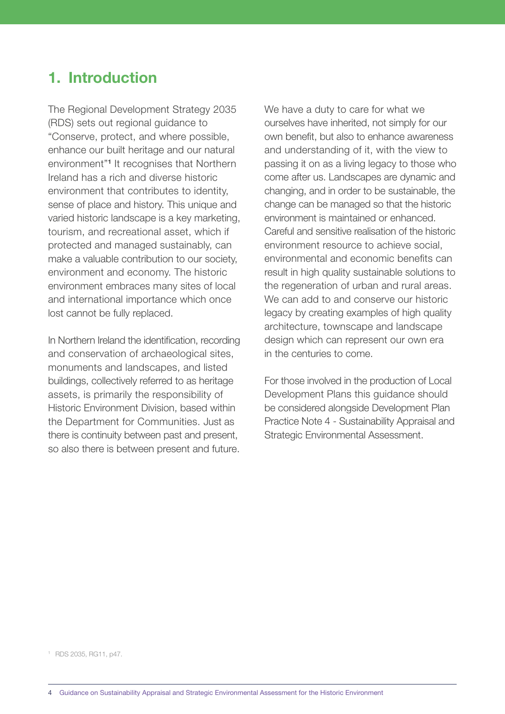# <span id="page-3-0"></span>1. Introduction

The Regional Development Strategy 2035 (RDS) sets out regional guidance to "Conserve, protect, and where possible, enhance our built heritage and our natural environment"1 It recognises that Northern Ireland has a rich and diverse historic environment that contributes to identity, sense of place and history. This unique and varied historic landscape is a key marketing, tourism, and recreational asset, which if protected and managed sustainably, can make a valuable contribution to our society, environment and economy. The historic environment embraces many sites of local and international importance which once lost cannot be fully replaced.

In Northern Ireland the identification, recording and conservation of archaeological sites, monuments and landscapes, and listed buildings, collectively referred to as heritage assets, is primarily the responsibility of Historic Environment Division, based within the Department for Communities. Just as there is continuity between past and present, so also there is between present and future. We have a duty to care for what we ourselves have inherited, not simply for our own benefit, but also to enhance awareness and understanding of it, with the view to passing it on as a living legacy to those who come after us. Landscapes are dynamic and changing, and in order to be sustainable, the change can be managed so that the historic environment is maintained or enhanced. Careful and sensitive realisation of the historic environment resource to achieve social, environmental and economic benefits can result in high quality sustainable solutions to the regeneration of urban and rural areas. We can add to and conserve our historic legacy by creating examples of high quality architecture, townscape and landscape design which can represent our own era in the centuries to come.

For those involved in the production of Local Development Plans this guidance should be considered alongside Development Plan Practice Note 4 - Sustainability Appraisal and Strategic Environmental Assessment.

1 RDS 2035, RG11, p47.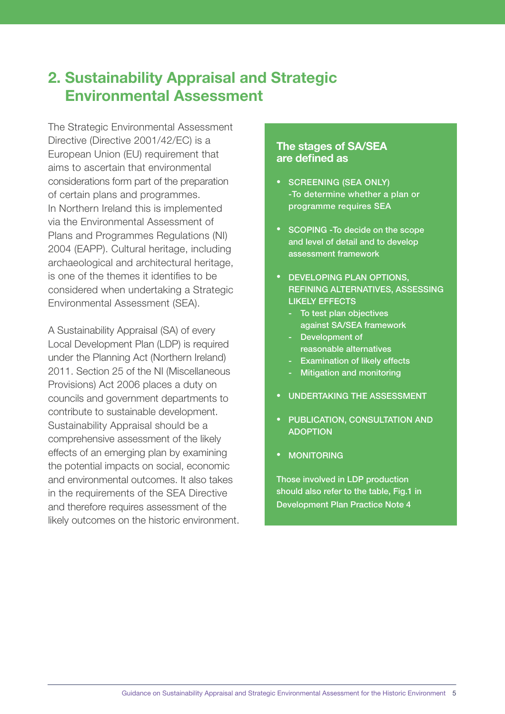# <span id="page-4-0"></span>2. Sustainability Appraisal and Strategic Environmental Assessment

The Strategic Environmental Assessment Directive (Directive 2001/42/EC) is a European Union (EU) requirement that aims to ascertain that environmental considerations form part of the preparation of certain plans and programmes. In Northern Ireland this is implemented via the Environmental Assessment of Plans and Programmes Regulations (NI) 2004 (EAPP). Cultural heritage, including archaeological and architectural heritage, is one of the themes it identifies to be considered when undertaking a Strategic Environmental Assessment (SEA).

A Sustainability Appraisal (SA) of every Local Development Plan (LDP) is required under the Planning Act (Northern Ireland) 2011. Section 25 of the NI (Miscellaneous Provisions) Act 2006 places a duty on councils and government departments to contribute to sustainable development. Sustainability Appraisal should be a comprehensive assessment of the likely effects of an emerging plan by examining the potential impacts on social, economic and environmental outcomes. It also takes in the requirements of the SEA Directive and therefore requires assessment of the likely outcomes on the historic environment.

#### The stages of SA/SEA are defined as

- SCREENING (SEA ONLY) -To determine whether a plan or programme requires SEA
- SCOPING -To decide on the scope and level of detail and to develop assessment framework
- DEVELOPING PLAN OPTIONS, REFINING ALTERNATIVES, ASSESSING LIKELY EFFECTS
	- To test plan objectives against SA/SEA framework
	- Development of reasonable alternatives
	- Examination of likely effects
	- Mitigation and monitoring
- UNDERTAKING THE ASSESSMENT
- PUBLICATION, CONSULTATION AND ADOPTION
- MONITORING

Those involved in LDP production should also refer to the table. Fig.1 in Development Plan Practice Note 4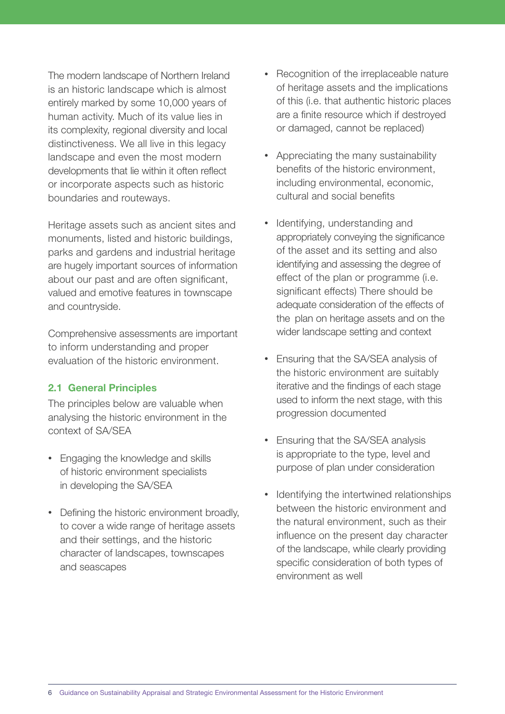<span id="page-5-0"></span>The modern landscape of Northern Ireland is an historic landscape which is almost entirely marked by some 10,000 years of human activity. Much of its value lies in its complexity, regional diversity and local distinctiveness. We all live in this legacy landscape and even the most modern developments that lie within it often reflect or incorporate aspects such as historic boundaries and routeways.

Heritage assets such as ancient sites and monuments, listed and historic buildings, parks and gardens and industrial heritage are hugely important sources of information about our past and are often significant, valued and emotive features in townscape and countryside.

Comprehensive assessments are important to inform understanding and proper evaluation of the historic environment.

#### 2.1 General Principles

The principles below are valuable when analysing the historic environment in the context of SA/SEA

- Engaging the knowledge and skills of historic environment specialists in developing the SA/SEA
- Defining the historic environment broadly, to cover a wide range of heritage assets and their settings, and the historic character of landscapes, townscapes and seascapes
- Recognition of the irreplaceable nature of heritage assets and the implications of this (i.e. that authentic historic places are a finite resource which if destroyed or damaged, cannot be replaced)
- Appreciating the many sustainability benefits of the historic environment, including environmental, economic, cultural and social benefits
- Identifying, understanding and appropriately conveying the significance of the asset and its setting and also identifying and assessing the degree of effect of the plan or programme (i.e. significant effects) There should be adequate consideration of the effects of the plan on heritage assets and on the wider landscape setting and context
- Ensuring that the SA/SEA analysis of the historic environment are suitably iterative and the findings of each stage used to inform the next stage, with this progression documented
- Ensuring that the SA/SEA analysis is appropriate to the type, level and purpose of plan under consideration
- Identifying the intertwined relationships between the historic environment and the natural environment, such as their influence on the present day character of the landscape, while clearly providing specific consideration of both types of environment as well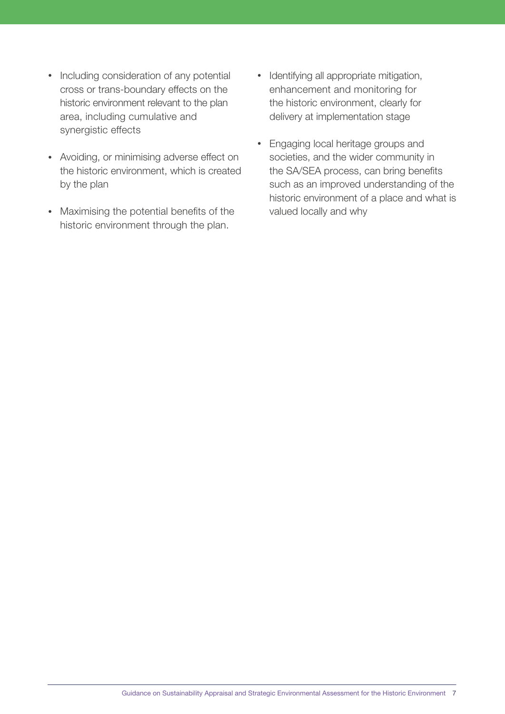- Including consideration of any potential cross or trans-boundary effects on the historic environment relevant to the plan area, including cumulative and synergistic effects
- Avoiding, or minimising adverse effect on the historic environment, which is created by the plan
- Maximising the potential benefits of the historic environment through the plan.
- Identifying all appropriate mitigation, enhancement and monitoring for the historic environment, clearly for delivery at implementation stage
- Engaging local heritage groups and societies, and the wider community in the SA/SEA process, can bring benefits such as an improved understanding of the historic environment of a place and what is valued locally and why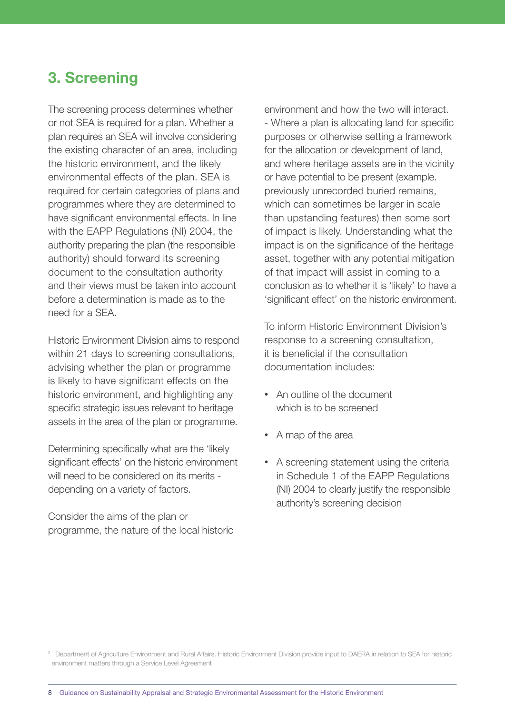# <span id="page-7-0"></span>3. Screening

The screening process determines whether or not SEA is required for a plan. Whether a plan requires an SEA will involve considering the existing character of an area, including the historic environment, and the likely environmental effects of the plan. SEA is required for certain categories of plans and programmes where they are determined to have significant environmental effects. In line with the EAPP Regulations (NI) 2004, the authority preparing the plan (the responsible authority) should forward its screening document to the consultation authority and their views must be taken into account before a determination is made as to the need for a SEA.

Historic Environment Division aims to respond within 21 days to screening consultations, advising whether the plan or programme is likely to have significant effects on the historic environment, and highlighting any specific strategic issues relevant to heritage assets in the area of the plan or programme.

Determining specifically what are the 'likely significant effects' on the historic environment will need to be considered on its merits depending on a variety of factors.

Consider the aims of the plan or programme, the nature of the local historic environment and how the two will interact. - Where a plan is allocating land for specific purposes or otherwise setting a framework for the allocation or development of land, and where heritage assets are in the vicinity or have potential to be present (example. previously unrecorded buried remains, which can sometimes be larger in scale than upstanding features) then some sort of impact is likely. Understanding what the impact is on the significance of the heritage asset, together with any potential mitigation of that impact will assist in coming to a conclusion as to whether it is 'likely' to have a 'significant effect' on the historic environment.

To inform Historic Environment Division's response to a screening consultation, it is beneficial if the consultation documentation includes:

- An outline of the document which is to be screened
- A map of the area
- A screening statement using the criteria in Schedule 1 of the EAPP Regulations (NI) 2004 to clearly justify the responsible authority's screening decision

<sup>&</sup>lt;sup>2</sup> Department of Agriculture Environment and Rural Affairs. Historic Environment Division provide input to DAERA in relation to SEA for historic environment matters through a Service Level Agreement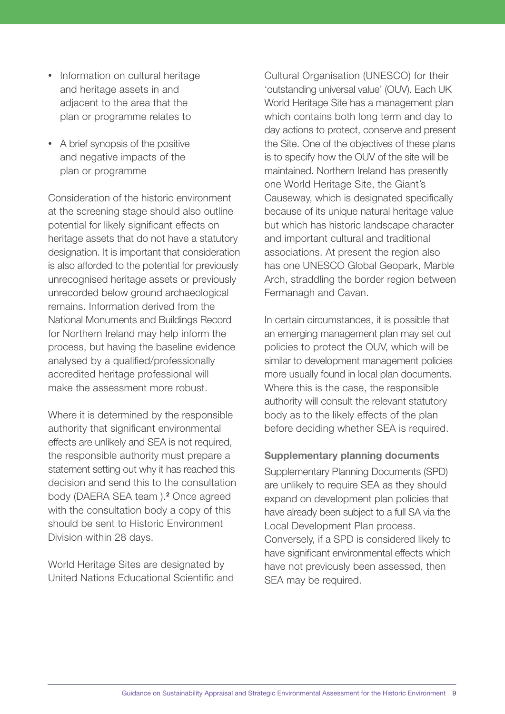- Information on cultural heritage and heritage assets in and adjacent to the area that the plan or programme relates to
- A brief synopsis of the positive and negative impacts of the plan or programme

Consideration of the historic environment at the screening stage should also outline potential for likely significant effects on heritage assets that do not have a statutory designation. It is important that consideration is also afforded to the potential for previously unrecognised heritage assets or previously unrecorded below ground archaeological remains. Information derived from the National Monuments and Buildings Record for Northern Ireland may help inform the process, but having the baseline evidence analysed by a qualified/professionally accredited heritage professional will make the assessment more robust.

Where it is determined by the responsible authority that significant environmental effects are unlikely and SEA is not required, the responsible authority must prepare a statement setting out why it has reached this decision and send this to the consultation body (DAERA SEA team).<sup>2</sup> Once agreed with the consultation body a copy of this should be sent to Historic Environment Division within 28 days.

World Heritage Sites are designated by United Nations Educational Scientific and Cultural Organisation (UNESCO) for their 'outstanding universal value' (OUV). Each UK World Heritage Site has a management plan which contains both long term and day to day actions to protect, conserve and present the Site. One of the objectives of these plans is to specify how the OUV of the site will be maintained. Northern Ireland has presently one World Heritage Site, the Giant's Causeway, which is designated specifically because of its unique natural heritage value but which has historic landscape character and important cultural and traditional associations. At present the region also has one UNESCO Global Geopark, Marble Arch, straddling the border region between Fermanagh and Cavan.

In certain circumstances, it is possible that an emerging management plan may set out policies to protect the OUV, which will be similar to development management policies more usually found in local plan documents. Where this is the case, the responsible authority will consult the relevant statutory body as to the likely effects of the plan before deciding whether SEA is required.

### Supplementary planning documents

Supplementary Planning Documents (SPD) are unlikely to require SEA as they should expand on development plan policies that have already been subject to a full SA via the Local Development Plan process. Conversely, if a SPD is considered likely to have significant environmental effects which have not previously been assessed, then SEA may be required.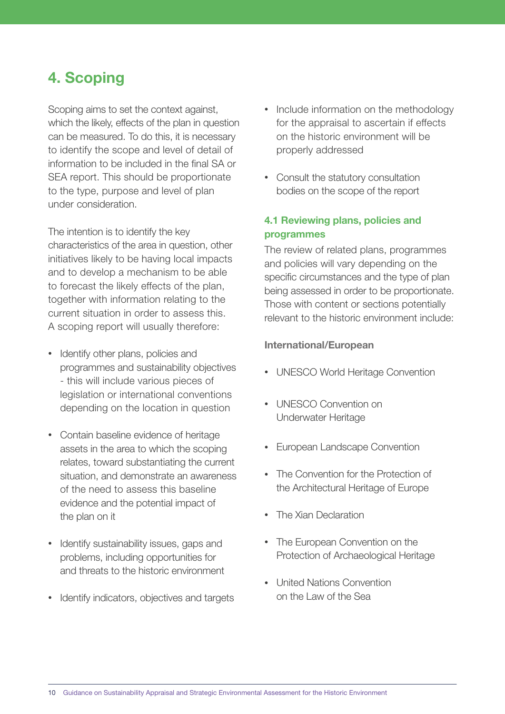# <span id="page-9-0"></span>4. Scoping

Scoping aims to set the context against, which the likely, effects of the plan in question can be measured. To do this, it is necessary to identify the scope and level of detail of information to be included in the final SA or SEA report. This should be proportionate to the type, purpose and level of plan under consideration.

The intention is to identify the key characteristics of the area in question, other initiatives likely to be having local impacts and to develop a mechanism to be able to forecast the likely effects of the plan, together with information relating to the current situation in order to assess this. A scoping report will usually therefore:

- Identify other plans, policies and programmes and sustainability objectives - this will include various pieces of legislation or international conventions depending on the location in question
- Contain baseline evidence of heritage assets in the area to which the scoping relates, toward substantiating the current situation, and demonstrate an awareness of the need to assess this baseline evidence and the potential impact of the plan on it
- Identify sustainability issues, gaps and problems, including opportunities for and threats to the historic environment
- Identify indicators, objectives and targets
- Include information on the methodology for the appraisal to ascertain if effects on the historic environment will be properly addressed
- Consult the statutory consultation bodies on the scope of the report

### 4.1 Reviewing plans, policies and programmes

The review of related plans, programmes and policies will vary depending on the specific circumstances and the type of plan being assessed in order to be proportionate. Those with content or sections potentially relevant to the historic environment include:

#### International/European

- UNESCO World Heritage Convention
- UNESCO Convention on Underwater Heritage
- European Landscape Convention
- The Convention for the Protection of the Architectural Heritage of Europe
- The Xian Declaration
- The European Convention on the Protection of Archaeological Heritage
- United Nations Convention on the Law of the Sea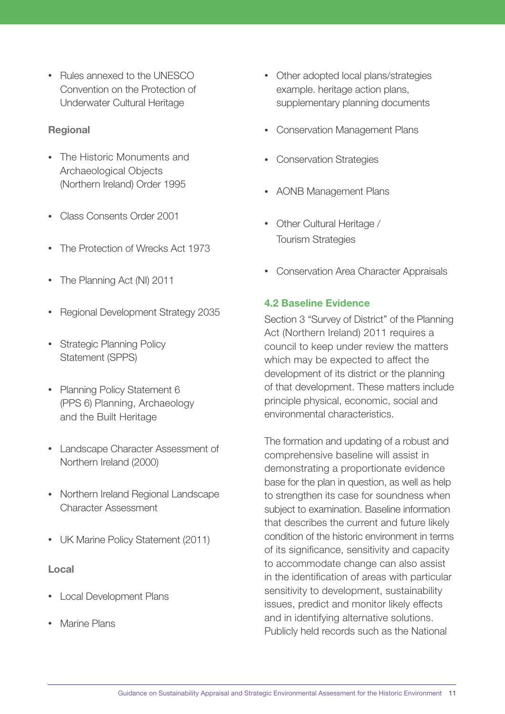<span id="page-10-0"></span>• Rules annexed to the UNESCO Convention on the Protection of Underwater Cultural Heritage

### Regional

- The Historic Monuments and Archaeological Objects (Northern Ireland) Order 1995
- Class Consents Order 2001
- The Protection of Wrecks Act 1973
- The Planning Act (NI) 2011
- Regional Development Strategy 2035
- Strategic Planning Policy Statement (SPPS)
- Planning Policy Statement 6 (PPS 6) Planning, Archaeology and the Built Heritage
- Landscape Character Assessment of Northern Ireland (2000)
- Northern Ireland Regional Landscape Character Assessment
- UK Marine Policy Statement (2011)

#### Local

- Local Development Plans
- Marine Plans
- Other adopted local plans/strategies example. heritage action plans, supplementary planning documents
- Conservation Management Plans
- Conservation Strategies
- AONB Management Plans
- Other Cultural Heritage / Tourism Strategies
- Conservation Area Character Appraisals

#### 4.2 Baseline Evidence

Section 3 "Survey of District" of the Planning Act (Northern Ireland) 2011 requires a council to keep under review the matters which may be expected to affect the development of its district or the planning of that development. These matters include principle physical, economic, social and environmental characteristics.

The formation and updating of a robust and comprehensive baseline will assist in demonstrating a proportionate evidence base for the plan in question, as well as help to strengthen its case for soundness when subject to examination. Baseline information that describes the current and future likely condition of the historic environment in terms of its significance, sensitivity and capacity to accommodate change can also assist in the identification of areas with particular sensitivity to development, sustainability issues, predict and monitor likely effects and in identifying alternative solutions. Publicly held records such as the National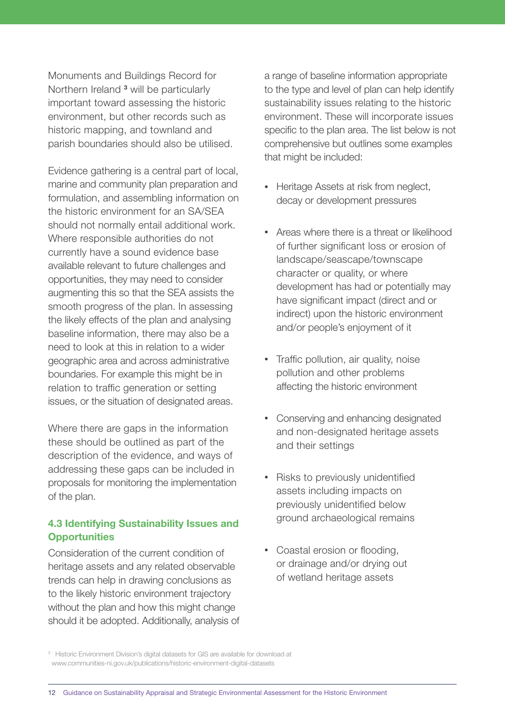<span id="page-11-0"></span>Monuments and Buildings Record for Northern Ireland<sup>3</sup> will be particularly important toward assessing the historic environment, but other records such as historic mapping, and townland and parish boundaries should also be utilised.

Evidence gathering is a central part of local, marine and community plan preparation and formulation, and assembling information on the historic environment for an SA/SEA should not normally entail additional work. Where responsible authorities do not currently have a sound evidence base available relevant to future challenges and opportunities, they may need to consider augmenting this so that the SEA assists the smooth progress of the plan. In assessing the likely effects of the plan and analysing baseline information, there may also be a need to look at this in relation to a wider geographic area and across administrative boundaries. For example this might be in relation to traffic generation or setting issues, or the situation of designated areas.

Where there are gaps in the information these should be outlined as part of the description of the evidence, and ways of addressing these gaps can be included in proposals for monitoring the implementation of the plan.

### 4.3 Identifying Sustainability Issues and **Opportunities**

Consideration of the current condition of heritage assets and any related observable trends can help in drawing conclusions as to the likely historic environment trajectory without the plan and how this might change should it be adopted. Additionally, analysis of a range of baseline information appropriate to the type and level of plan can help identify sustainability issues relating to the historic environment. These will incorporate issues specific to the plan area. The list below is not comprehensive but outlines some examples that might be included:

- Heritage Assets at risk from neglect, decay or development pressures
- Areas where there is a threat or likelihood of further significant loss or erosion of landscape/seascape/townscape character or quality, or where development has had or potentially may have significant impact (direct and or indirect) upon the historic environment and/or people's enjoyment of it
- Traffic pollution, air quality, noise pollution and other problems affecting the historic environment
- Conserving and enhancing designated and non-designated heritage assets and their settings
- Risks to previously unidentified assets including impacts on previously unidentified below ground archaeological remains
- Coastal erosion or flooding, or drainage and/or drying out of wetland heritage assets

<sup>&</sup>lt;sup>3</sup> Historic Environment Division's digital datasets for GIS are available for download at www.communities-ni.gov.uk/publications/historic-environment-digital-datasets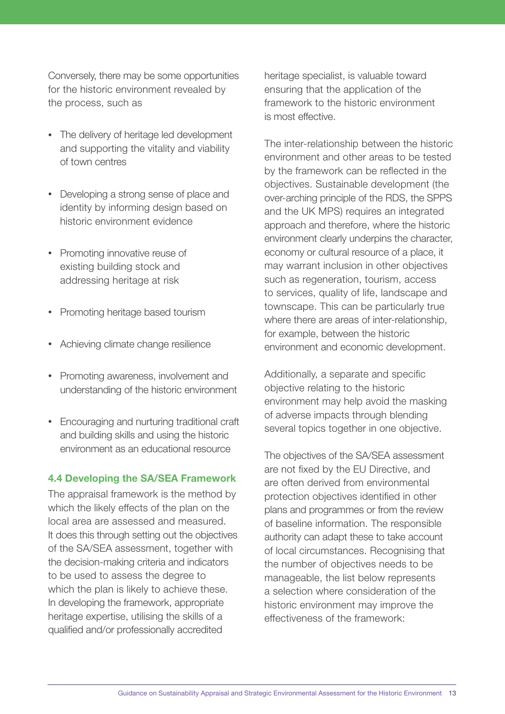<span id="page-12-0"></span>Conversely, there may be some opportunities for the historic environment revealed by the process, such as

- The delivery of heritage led development and supporting the vitality and viability of town centres
- Developing a strong sense of place and identity by informing design based on historic environment evidence
- Promoting innovative reuse of existing building stock and addressing heritage at risk
- Promoting heritage based tourism
- Achieving climate change resilience
- Promoting awareness, involvement and understanding of the historic environment
- Encouraging and nurturing traditional craft and building skills and using the historic environment as an educational resource

#### 4.4 Developing the SA/SEA Framework

The appraisal framework is the method by which the likely effects of the plan on the local area are assessed and measured. It does this through setting out the objectives of the SA/SEA assessment, together with the decision-making criteria and indicators to be used to assess the degree to which the plan is likely to achieve these. In developing the framework, appropriate heritage expertise, utilising the skills of a qualified and/or professionally accredited

heritage specialist, is valuable toward ensuring that the application of the framework to the historic environment is most effective.

The inter-relationship between the historic environment and other areas to be tested by the framework can be reflected in the objectives. Sustainable development (the over-arching principle of the RDS, the SPPS and the UK MPS) requires an integrated approach and therefore, where the historic environment clearly underpins the character, economy or cultural resource of a place, it may warrant inclusion in other objectives such as regeneration, tourism, access to services, quality of life, landscape and townscape. This can be particularly true where there are areas of inter-relationship, for example, between the historic environment and economic development.

Additionally, a separate and specific objective relating to the historic environment may help avoid the masking of adverse impacts through blending several topics together in one objective.

The objectives of the SA/SEA assessment are not fixed by the EU Directive, and are often derived from environmental protection objectives identified in other plans and programmes or from the review of baseline information. The responsible authority can adapt these to take account of local circumstances. Recognising that the number of objectives needs to be manageable, the list below represents a selection where consideration of the historic environment may improve the effectiveness of the framework: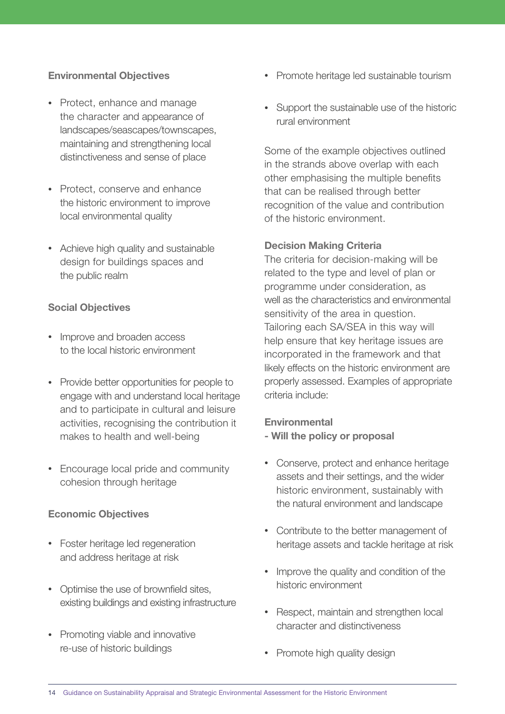### Environmental Objectives

- Protect, enhance and manage the character and appearance of landscapes/seascapes/townscapes, maintaining and strengthening local distinctiveness and sense of place
- Protect, conserve and enhance the historic environment to improve local environmental quality
- Achieve high quality and sustainable design for buildings spaces and the public realm

### Social Objectives

- Improve and broaden access to the local historic environment
- Provide better opportunities for people to engage with and understand local heritage and to participate in cultural and leisure activities, recognising the contribution it makes to health and well-being
- Encourage local pride and community cohesion through heritage

### Economic Objectives

- Foster heritage led regeneration and address heritage at risk
- Optimise the use of brownfield sites, existing buildings and existing infrastructure
- Promoting viable and innovative re-use of historic buildings
- Promote heritage led sustainable tourism
- Support the sustainable use of the historic rural environment

Some of the example objectives outlined in the strands above overlap with each other emphasising the multiple benefits that can be realised through better recognition of the value and contribution of the historic environment.

### Decision Making Criteria

The criteria for decision-making will be related to the type and level of plan or programme under consideration, as well as the characteristics and environmental sensitivity of the area in question. Tailoring each SA/SEA in this way will help ensure that key heritage issues are incorporated in the framework and that likely effects on the historic environment are properly assessed. Examples of appropriate criteria include:

### **Environmental**

- Will the policy or proposal
- Conserve, protect and enhance heritage assets and their settings, and the wider historic environment, sustainably with the natural environment and landscape
- Contribute to the better management of heritage assets and tackle heritage at risk
- Improve the quality and condition of the historic environment
- Respect, maintain and strengthen local character and distinctiveness
- Promote high quality design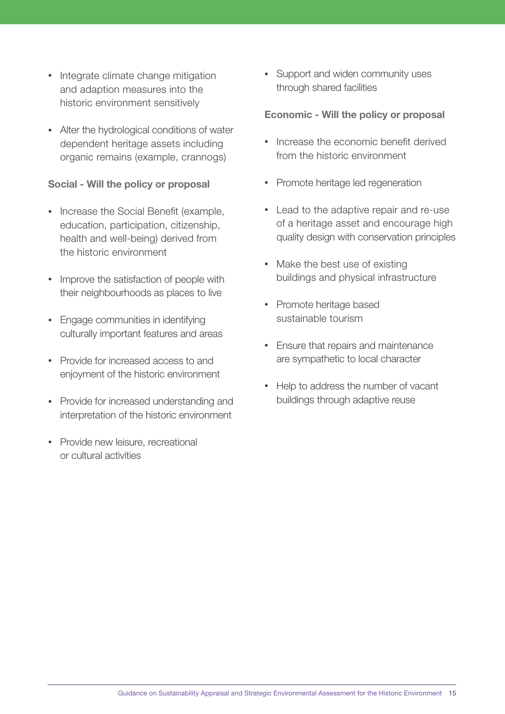- Integrate climate change mitigation and adaption measures into the historic environment sensitively
- Alter the hydrological conditions of water dependent heritage assets including organic remains (example, crannogs)

#### Social - Will the policy or proposal

- Increase the Social Benefit (example, education, participation, citizenship, health and well-being) derived from the historic environment
- Improve the satisfaction of people with their neighbourhoods as places to live
- Engage communities in identifying culturally important features and areas
- Provide for increased access to and enjoyment of the historic environment
- Provide for increased understanding and interpretation of the historic environment
- Provide new leisure, recreational or cultural activities

• Support and widen community uses through shared facilities

#### Economic - Will the policy or proposal

- Increase the economic benefit derived from the historic environment
- Promote heritage led regeneration
- Lead to the adaptive repair and re-use of a heritage asset and encourage high quality design with conservation principles
- Make the best use of existing buildings and physical infrastructure
- Promote heritage based sustainable tourism
- Ensure that repairs and maintenance are sympathetic to local character
- Help to address the number of vacant buildings through adaptive reuse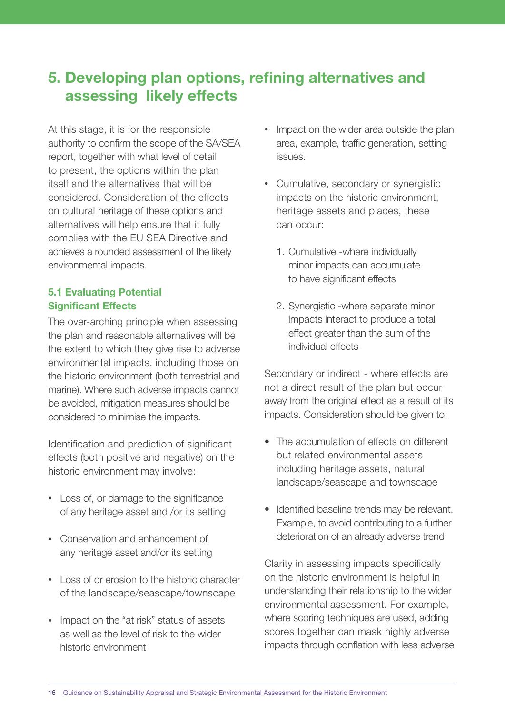# <span id="page-15-0"></span>5. Developing plan options, refining alternatives and assessing likely effects

At this stage, it is for the responsible authority to confirm the scope of the SA/SEA report, together with what level of detail to present, the options within the plan itself and the alternatives that will be considered. Consideration of the effects on cultural heritage of these options and alternatives will help ensure that it fully complies with the EU SEA Directive and achieves a rounded assessment of the likely environmental impacts.

### 5.1 Evaluating Potential Significant Effects

The over-arching principle when assessing the plan and reasonable alternatives will be the extent to which they give rise to adverse environmental impacts, including those on the historic environment (both terrestrial and marine). Where such adverse impacts cannot be avoided, mitigation measures should be considered to minimise the impacts.

Identification and prediction of significant effects (both positive and negative) on the historic environment may involve:

- Loss of, or damage to the significance of any heritage asset and /or its setting
- Conservation and enhancement of any heritage asset and/or its setting
- Loss of or erosion to the historic character of the landscape/seascape/townscape
- Impact on the "at risk" status of assets as well as the level of risk to the wider historic environment
- Impact on the wider area outside the plan area, example, traffic generation, setting issues.
- Cumulative, secondary or synergistic impacts on the historic environment, heritage assets and places, these can occur:
	- 1. Cumulative -where individually minor impacts can accumulate to have significant effects
	- 2. Synergistic -where separate minor impacts interact to produce a total effect greater than the sum of the individual effects

Secondary or indirect - where effects are not a direct result of the plan but occur away from the original effect as a result of its impacts. Consideration should be given to:

- The accumulation of effects on different but related environmental assets including heritage assets, natural landscape/seascape and townscape
- Identified baseline trends may be relevant. Example, to avoid contributing to a further deterioration of an already adverse trend

Clarity in assessing impacts specifically on the historic environment is helpful in understanding their relationship to the wider environmental assessment. For example, where scoring techniques are used, adding scores together can mask highly adverse impacts through conflation with less adverse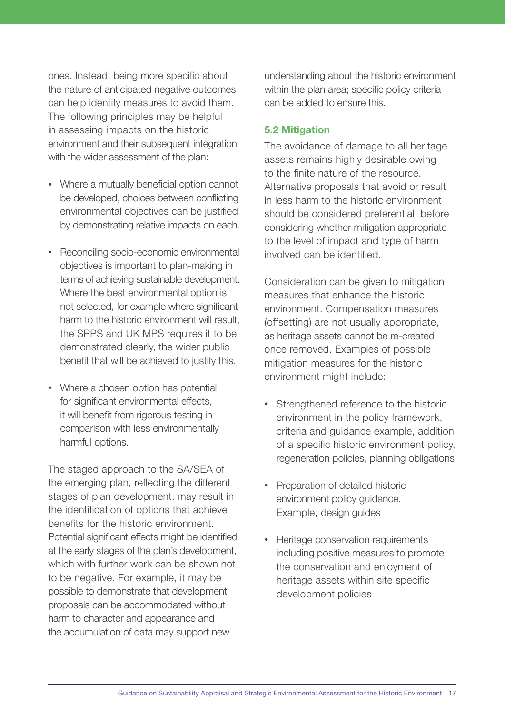<span id="page-16-0"></span>ones. Instead, being more specific about the nature of anticipated negative outcomes can help identify measures to avoid them. The following principles may be helpful in assessing impacts on the historic environment and their subsequent integration with the wider assessment of the plan:

- Where a mutually beneficial option cannot be developed, choices between conflicting environmental objectives can be justified by demonstrating relative impacts on each.
- Reconciling socio-economic environmental objectives is important to plan-making in terms of achieving sustainable development. Where the best environmental option is not selected, for example where significant harm to the historic environment will result, the SPPS and UK MPS requires it to be demonstrated clearly, the wider public benefit that will be achieved to justify this.
- Where a chosen option has potential for significant environmental effects, it will benefit from rigorous testing in comparison with less environmentally harmful options.

The staged approach to the SA/SEA of the emerging plan, reflecting the different stages of plan development, may result in the identification of options that achieve benefits for the historic environment. Potential significant effects might be identified at the early stages of the plan's development, which with further work can be shown not to be negative. For example, it may be possible to demonstrate that development proposals can be accommodated without harm to character and appearance and the accumulation of data may support new

understanding about the historic environment within the plan area; specific policy criteria can be added to ensure this.

### 5.2 Mitigation

The avoidance of damage to all heritage assets remains highly desirable owing to the finite nature of the resource. Alternative proposals that avoid or result in less harm to the historic environment should be considered preferential, before considering whether mitigation appropriate to the level of impact and type of harm involved can be identified.

Consideration can be given to mitigation measures that enhance the historic environment. Compensation measures (offsetting) are not usually appropriate, as heritage assets cannot be re-created once removed. Examples of possible mitigation measures for the historic environment might include:

- Strengthened reference to the historic environment in the policy framework, criteria and guidance example, addition of a specific historic environment policy, regeneration policies, planning obligations
- Preparation of detailed historic environment policy guidance. Example, design guides
- Heritage conservation requirements including positive measures to promote the conservation and enjoyment of heritage assets within site specific development policies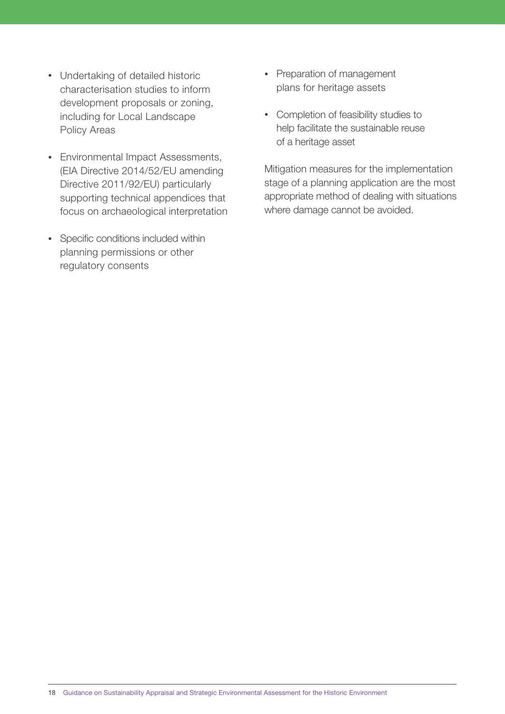- Undertaking of detailed historic characterisation studies to inform development proposals or zoning, including for Local Landscape Policy Areas
- Environmental Impact Assessments, (EIA Directive 2014/52/EU amending Directive 2011/92/EU) particularly supporting technical appendices that focus on archaeological interpretation
- Specific conditions included within planning permissions or other regulatory consents
- Preparation of management plans for heritage assets
- Completion of feasibility studies to help facilitate the sustainable reuse of a heritage asset

Mitigation measures for the implementation stage of a planning application are the most appropriate method of dealing with situations where damage cannot be avoided.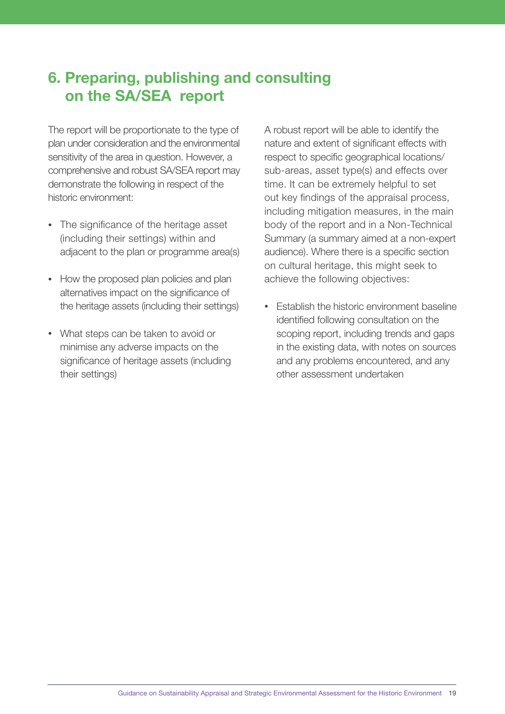# <span id="page-18-0"></span>6. Preparing, publishing and consulting on the SA/SEA report

The report will be proportionate to the type of plan under consideration and the environmental sensitivity of the area in question. However, a comprehensive and robust SA/SEA report may demonstrate the following in respect of the historic environment:

- The significance of the heritage asset (including their settings) within and adjacent to the plan or programme area(s)
- How the proposed plan policies and plan alternatives impact on the significance of the heritage assets (including their settings)
- What steps can be taken to avoid or minimise any adverse impacts on the significance of heritage assets (including their settings)

A robust report will be able to identify the nature and extent of significant effects with respect to specific geographical locations/ sub-areas, asset type(s) and effects over time. It can be extremely helpful to set out key findings of the appraisal process, including mitigation measures, in the main body of the report and in a Non-Technical Summary (a summary aimed at a non-expert audience). Where there is a specific section on cultural heritage, this might seek to achieve the following objectives:

• Establish the historic environment baseline identified following consultation on the scoping report, including trends and gaps in the existing data, with notes on sources and any problems encountered, and any other assessment undertaken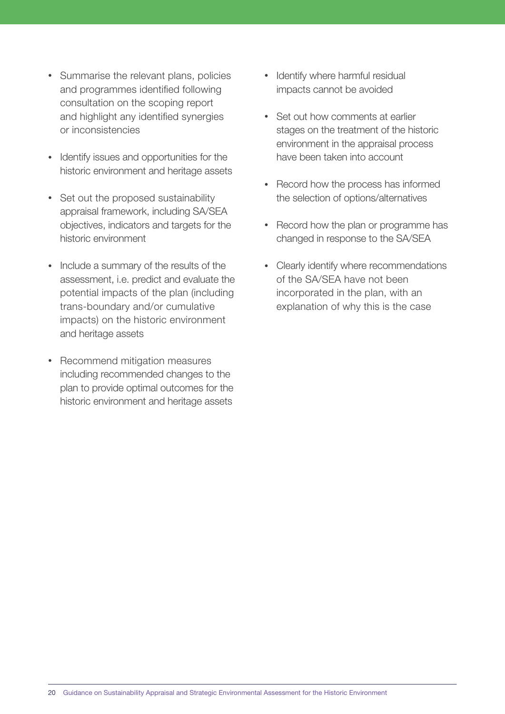- Summarise the relevant plans, policies and programmes identified following consultation on the scoping report and highlight any identified synergies or inconsistencies
- Identify issues and opportunities for the historic environment and heritage assets
- Set out the proposed sustainability appraisal framework, including SA/SEA objectives, indicators and targets for the historic environment
- Include a summary of the results of the assessment, i.e. predict and evaluate the potential impacts of the plan (including trans-boundary and/or cumulative impacts) on the historic environment and heritage assets
- Recommend mitigation measures including recommended changes to the plan to provide optimal outcomes for the historic environment and heritage assets
- Identify where harmful residual impacts cannot be avoided
- Set out how comments at earlier stages on the treatment of the historic environment in the appraisal process have been taken into account
- Record how the process has informed the selection of options/alternatives
- Record how the plan or programme has changed in response to the SA/SEA
- Clearly identify where recommendations of the SA/SEA have not been incorporated in the plan, with an explanation of why this is the case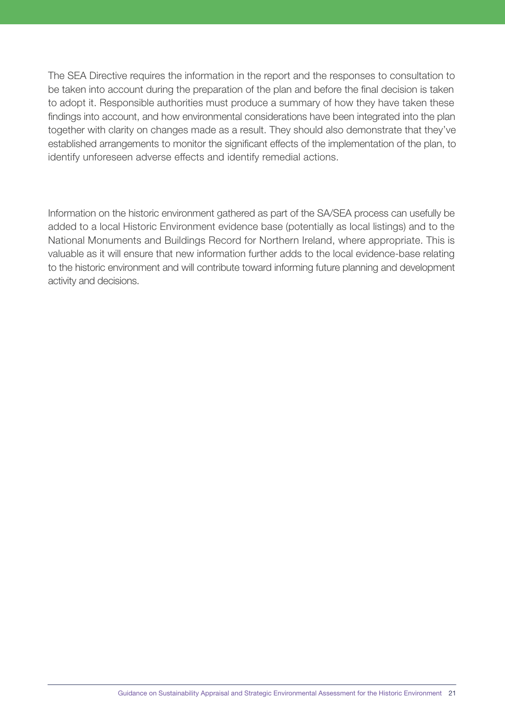The SEA Directive requires the information in the report and the responses to consultation to be taken into account during the preparation of the plan and before the final decision is taken to adopt it. Responsible authorities must produce a summary of how they have taken these findings into account, and how environmental considerations have been integrated into the plan together with clarity on changes made as a result. They should also demonstrate that they've established arrangements to monitor the significant effects of the implementation of the plan, to identify unforeseen adverse effects and identify remedial actions.

Information on the historic environment gathered as part of the SA/SEA process can usefully be added to a local Historic Environment evidence base (potentially as local listings) and to the National Monuments and Buildings Record for Northern Ireland, where appropriate. This is valuable as it will ensure that new information further adds to the local evidence-base relating to the historic environment and will contribute toward informing future planning and development activity and decisions.